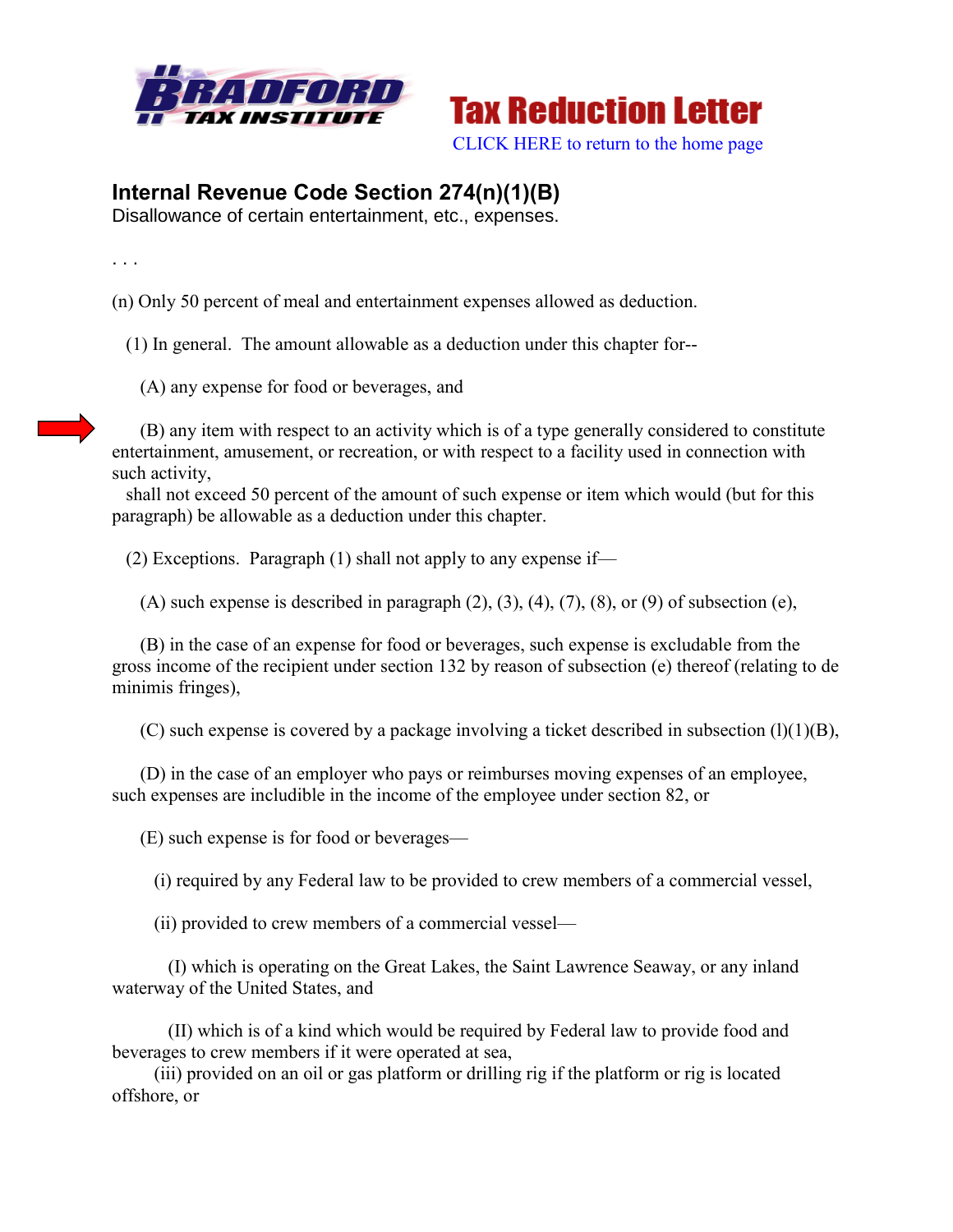



[CLICK HERE to return to the home page](http://bradfordtaxinstitute.com/index1.aspx) 

## **Internal Revenue Code Section 274(n)(1)(B)**

Disallowance of certain entertainment, etc., expenses.

. . .

(n) Only 50 percent of meal and entertainment expenses allowed as deduction.

(1) In general. The amount allowable as a deduction under this chapter for--

(A) any expense for food or beverages, and

 (B) any item with respect to an activity which is of a type generally considered to constitute entertainment, amusement, or recreation, or with respect to a facility used in connection with such activity,

 shall not exceed 50 percent of the amount of such expense or item which would (but for this paragraph) be allowable as a deduction under this chapter.

(2) Exceptions. Paragraph (1) shall not apply to any expense if—

(A) such expense is described in paragraph  $(2)$ ,  $(3)$ ,  $(4)$ ,  $(7)$ ,  $(8)$ , or  $(9)$  of subsection (e),

 (B) in the case of an expense for food or beverages, such expense is excludable from the gross income of the recipient under section 132 by reason of subsection (e) thereof (relating to de minimis fringes),

(C) such expense is covered by a package involving a ticket described in subsection  $(1)(1)(B)$ ,

 (D) in the case of an employer who pays or reimburses moving expenses of an employee, such expenses are includible in the income of the employee under section 82, or

(E) such expense is for food or beverages—

(i) required by any Federal law to be provided to crew members of a commercial vessel,

(ii) provided to crew members of a commercial vessel—

 (I) which is operating on the Great Lakes, the Saint Lawrence Seaway, or any inland waterway of the United States, and

 (II) which is of a kind which would be required by Federal law to provide food and beverages to crew members if it were operated at sea,

 (iii) provided on an oil or gas platform or drilling rig if the platform or rig is located offshore, or